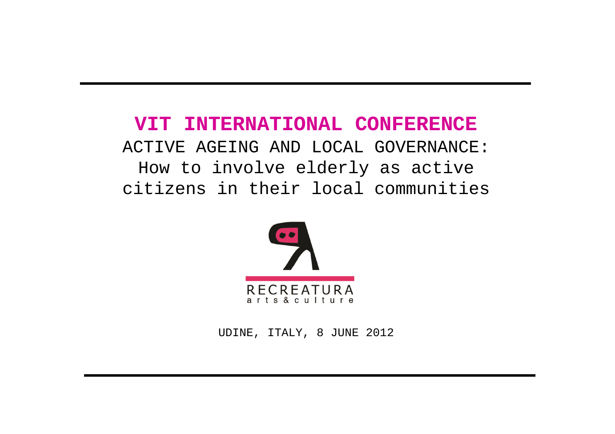# **VIT INTERNATIONAL CONFERENCE** ACTIVE AGEING AND LOCAL GOVERNANCE: How to involve elderly as active citizens in their local communities



UDINE, ITALY, 8 JUNE 2012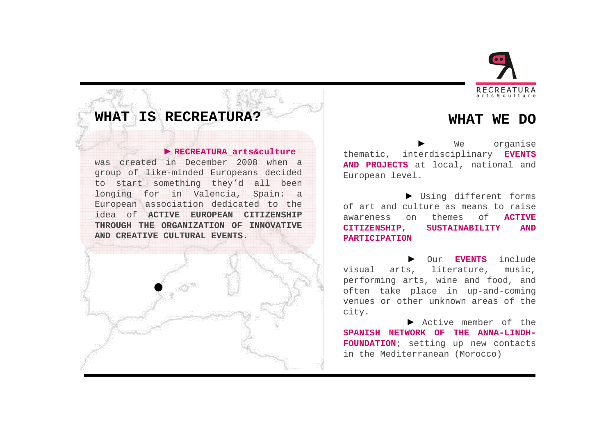

**WHAT WE DO** 

#### **WHAT IS RECREATURA?**

### **► RECREATURA\_arts&culture**

was created in December <sup>2008</sup> when <sup>a</sup> group of like-minded Europeans decided to start something they'd all been longing for in Valencia, Spain: <sup>a</sup> European association dedicated to the idea of **ACTIVE EUROPEAN CITIZENSHIP THROUGH THE ORGANIZATION OF INNOVATIVE AND CREATIVE CULTURAL EVENTS**.

**►**We organise<br>Ardisciplinary **EVENTS** thematic, interdisciplinary **EVENTS AND PROJECTS** at local, national and European level.

**►** Using different forms of art and culture as means to raise awareness on themes of **ACTIVE**  $SUSTAINABILITY$ **PARTICIPATION**

**►** Our **EVENTS** include visual arts, literature, music, performing arts, wine and food, and often take place in up-and-coming venues or other unknown areas of the city.

Active member of the Active member of the<br>WORK OF THE ANNA-LINDH-**SPANISH NETWORK OF THE ANNA-LINDH-FOUNDATION**; setting up new contacts in the Mediterranean (Morocco)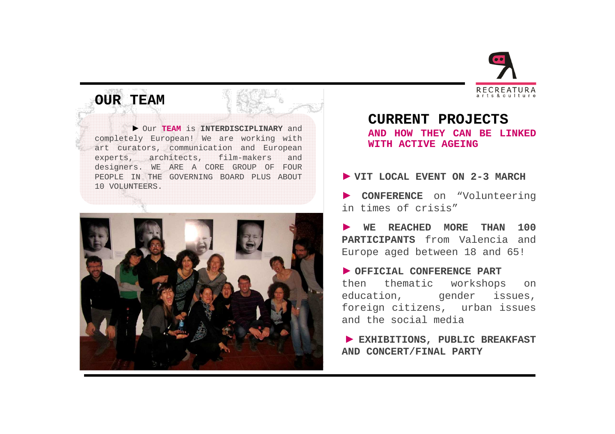

# **OUR TEAM**

**►** Our **TEAM** is **INTERDISCIPLINARY** and completely European! We are working with art curators, communication and European<br>experts. architects. film-makers and experts, architects, film-makers designers. WE ARE <sup>A</sup> CORE GROUP OF FOUR PEOPLE IN THE GOVERNING BOARD PLUS ABOUT <sup>10</sup> VOLUNTEERS.



**CURRENT PROJECTS AND HOW THEY CAN BE LINKED WITH ACTIVE AGEING**

# **► VIT LOCAL EVENT ON 2-3 MARCH**

**► CONFERENCE** on "Volunteering in times of crisis"

**► WE REACHED MORE THAN <sup>100</sup> PARTICIPANTS** from Valencia and Europe aged between <sup>18</sup> and 65!

OFFICIAL CONFERENCE PART **OFFICIAL CONFERENCE PART** then thematic workshops on education, gender issues, foreign citizens, urban issues and the social media

**► EXHIBITIONS, PUBLIC BREAKFAST AND CONCERT/FINAL PARTY**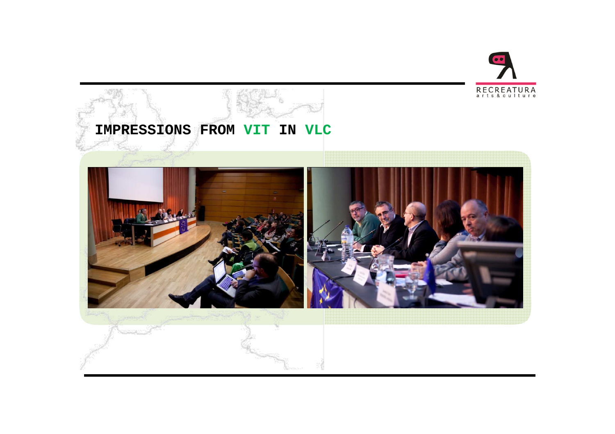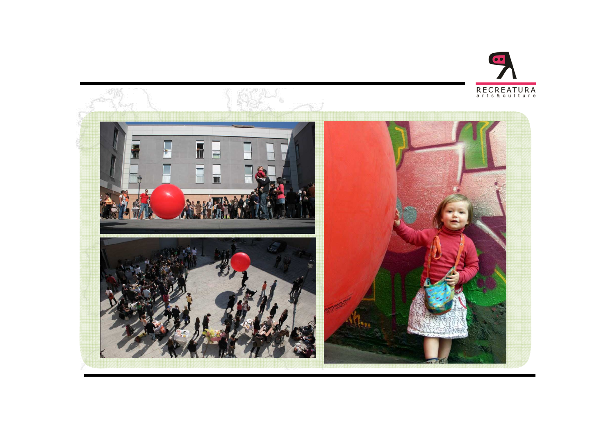

 $\bullet$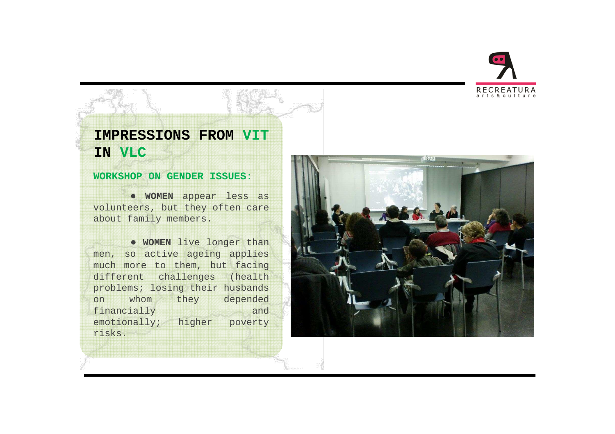

## **IMPRESSIONS FROM VITIN VLC**

#### **WORKSHOP ON GENDER ISSUES**:

● **WOMEN** appear less as volunteers, but they often care about family members.

● **WOMEN** live longer than men, so active ageing applies much more to them, but facing different challenges (health problems; losing their husbands<br>on whom they depended on whom they depended<br>financially and financially and emotionally; higher poverty risks.

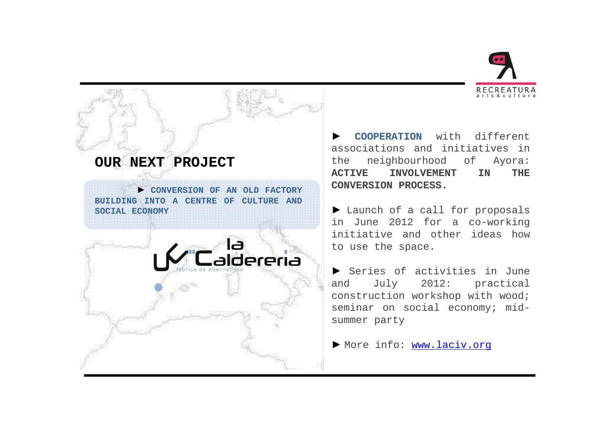



**► COOPERATION** with different associations and initiatives in the neighbourhood of Ayora:<br>ACTIVE INVOLVEMENT IN THE  $INVOLVEMENT$ **CONVERSION PROCESS.**

► Launch of a call for proposals<br>in June 2012 for a co-working in June <sup>2012</sup> for <sup>a</sup> co-working initiative and other ideas how to use the space.

**►** Series of activities in June and July 2012: practical construction workshop with wood; seminar on social economy; midsummer party

**►** More info: www.laciv.org